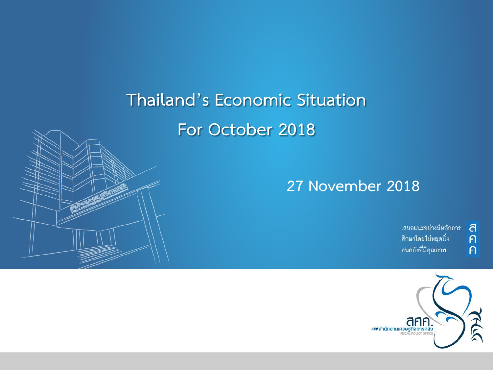## **Thailand's Economic Situation For October 2018**



้เสนอแนะอย่างมีหลักการ ศึกษาโดยไม่หยุดนิ่ง คนคลังที่มีคุณภาพ

ิส<br>ศ

 $\overline{P}$ 

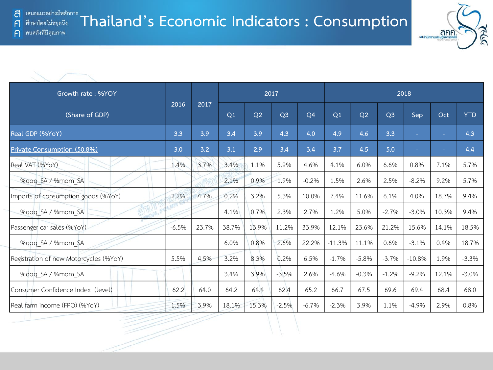F

 $\bigcap$ 



| Growth rate: %YOY                      |         |       |       |       | 2017           |                | 2018     |         |                |          |        |            |  |
|----------------------------------------|---------|-------|-------|-------|----------------|----------------|----------|---------|----------------|----------|--------|------------|--|
| (Share of GDP)                         | 2016    | 2017  | Q1    | Q2    | Q <sub>3</sub> | Q <sub>4</sub> | Q1       | Q2      | Q <sub>3</sub> | Sep      | Oct    | <b>YTD</b> |  |
| Real GDP (%YoY)                        | 3.3     | 3.9   | 3.4   | 3.9   | 4.3            | 4.0            | 4.9      | 4.6     | 3.3            | $\sim$   | $\sim$ | 4.3        |  |
| Private Consumption (50.8%)            | 3.0     | 3.2   | 3.1   | 2.9   | 3.4            | 3.4            | 3.7      | 4.5     | 5.0            | $\sim$   | $\sim$ | 4.4        |  |
| Real VAT (%YoY)                        | 1.4%    | 3.7%  | 3.4%  | 1.1%  | 5.9%           | 4.6%           | 4.1%     | 6.0%    | 6.6%           | 0.8%     | 7.1%   | 5.7%       |  |
| %gog SA / %mom SA                      |         |       | 2.1%  | 0.9%  | 1.9%           | $-0.2%$        | 1.5%     | 2.6%    | 2.5%           | $-8.2%$  | 9.2%   | 5.7%       |  |
| Imports of consumption goods (%YoY)    | 2.2%    | 4.7%  | 0.2%  | 3.2%  | 5.3%           | 10.0%          | 7.4%     | 11.6%   | 6.1%           | 4.0%     | 18.7%  | 9.4%       |  |
| %gog SA / %mom SA                      |         |       | 4.1%  | 0.7%  | 2.3%           | 2.7%           | 1.2%     | 5.0%    | $-2.7%$        | $-3.0%$  | 10.3%  | 9.4%       |  |
| Passenger car sales (%YoY)             | $-6.5%$ | 23.7% | 38.7% | 13.9% | 11.2%          | 33.9%          | 12.1%    | 23.6%   | 21.2%          | 15.6%    | 14.1%  | 18.5%      |  |
| %gog SA / %mom SA                      |         |       | 6.0%  | 0.8%  | 2.6%           | 22.2%          | $-11.3%$ | 11.1%   | 0.6%           | $-3.1%$  | 0.4%   | 18.7%      |  |
| Registration of new Motorcycles (%YoY) | 5.5%    | 4.5%  | 3.2%  | 8.3%  | 0.2%           | 6.5%           | $-1.7%$  | $-5.8%$ | $-3.7%$        | $-10.8%$ | 1.9%   | $-3.3%$    |  |
| %gog SA / %mom SA                      |         |       | 3.4%  | 3.9%  | $-3.5%$        | 2.6%           | $-4.6%$  | $-0.3%$ | $-1.2%$        | $-9.2%$  | 12.1%  | $-3.0%$    |  |
| Consumer Confidence Index (level)      | 62.2    | 64.0  | 64.2  | 64.4  | 62.4           | 65.2           | 66.7     | 67.5    | 69.6           | 69.4     | 68.4   | 68.0       |  |
| Real farm income (FPO) (%YoY)          | 1.5%    | 3.9%  | 18.1% | 15.3% | $-2.5%$        | $-6.7%$        | $-2.3%$  | 3.9%    | 1.1%           | $-4.9%$  | 2.9%   | 0.8%       |  |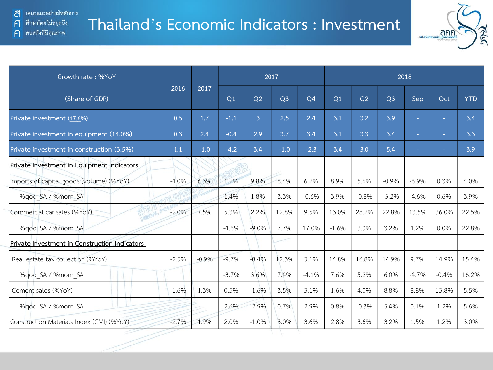ิคนคลังที่มีคุณภาพ

 $\bigcap$ 



| Growth rate: %YoY                             |         |         |         |         | 2017           |                | 2018           |         |                |         |         |            |  |
|-----------------------------------------------|---------|---------|---------|---------|----------------|----------------|----------------|---------|----------------|---------|---------|------------|--|
| (Share of GDP)                                | 2016    | 2017    | Q1      | Q2      | Q <sub>3</sub> | Q <sub>4</sub> | Q <sub>1</sub> | Q2      | Q <sub>3</sub> | Sep     | Oct     | <b>YTD</b> |  |
| Private investment (17.6%)                    | 0.5     | 1.7     | $-1.1$  | 3       | 2.5            | 2.4            | 3.1            | 3.2     | 3.9            | ÷.      | $\sim$  | 3.4        |  |
| Private investment in equipment (14.0%)       | 0.3     | 2.4     | $-0.4$  | 2.9     | 3.7            | 3.4            | 3.1            | 3.3     | 3.4            | ÷       | $\sim$  | 3.3        |  |
| Private investment in construction (3.5%)     | 1.1     | $-1.0$  | $-4.2$  | 3.4     | $-1.0$         | $-2.3$         | 3.4            | 3.0     | 5.4            | ÷.      | $\sim$  | 3.9        |  |
| Private Investment in Equipment Indicators    |         |         |         |         |                |                |                |         |                |         |         |            |  |
| Imports of capital goods (volume) (%YoY)      | $-4.0%$ | 6.3%    | 1.2%    | 9.8%    | 8.4%           | 6.2%           | 8.9%           | 5.6%    | $-0.9%$        | $-6.9%$ | 0.3%    | 4.0%       |  |
| %gog SA / %mom SA                             |         |         | 1.4%    | 1.8%    | 3.3%           | $-0.6%$        | 3.9%           | $-0.8%$ | $-3.2%$        | $-4.6%$ | 0.6%    | 3.9%       |  |
| Commercial car sales (%YoY)                   | $-2.0%$ | 7.5%    | 5.3%    | 2.2%    | 12.8%          | 9.5%           | 13.0%          | 28.2%   | 22.8%          | 13.5%   | 36.0%   | 22.5%      |  |
| %gog SA / %mom SA                             |         |         | $-4.6%$ | $-9.0%$ | 7.7%           | 17.0%          | $-1.6%$        | 3.3%    | 3.2%           | 4.2%    | 0.0%    | 22.8%      |  |
| Private Investment in Construction Indicators |         |         |         |         |                |                |                |         |                |         |         |            |  |
| Real estate tax collection (%YoY)             | $-2.5%$ | $-0.9%$ | $-9.7%$ | $-8.4%$ | 12.3%          | 3.1%           | 14.8%          | 16.8%   | 14.9%          | 9.7%    | 14.9%   | 15.4%      |  |
| %gog SA / %mom SA                             |         |         | $-3.7%$ | 3.6%    | 7.4%           | $-4.1%$        | 7.6%           | 5.2%    | 6.0%           | $-4.7%$ | $-0.4%$ | 16.2%      |  |
| Cement sales (%YoY)                           | $-1.6%$ | 1.3%    | 0.5%    | $-1.6%$ | 3.5%           | 3.1%           | 1.6%           | 4.0%    | 8.8%           | 8.8%    | 13.8%   | 5.5%       |  |
| %gog SA / %mom SA                             |         |         | 2.6%    | $-2.9%$ | 0.7%           | 2.9%           | 0.8%           | $-0.3%$ | 5.4%           | 0.1%    | 1.2%    | 5.6%       |  |
| Construction Materials Index (CMI) (%YoY)     | $-2.7%$ | 1.9%    | 2.0%    | $-1.0%$ | 3.0%           | 3.6%           | 2.8%           | 3.6%    | 3.2%           | 1.5%    | 1.2%    | 3.0%       |  |
|                                               |         |         |         |         |                |                |                |         |                |         |         |            |  |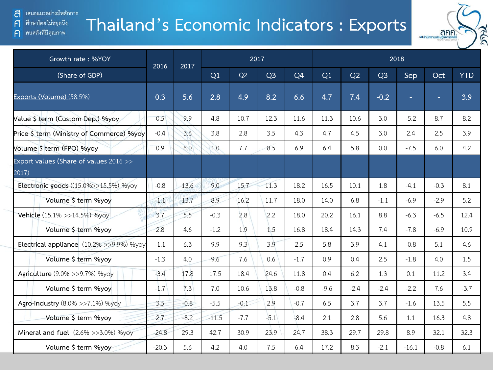### เสนอแนะอย่างมีหลักการ a

ศึกษาโดยไม่หยุดนึง  $\mathsf{F}$ 

### คนคลังที่มีคุณภาพ  $\bigcap$

## **Thailand's Economic Indicators : Exports**



| Growth rate: %YOY                               | 2016    | 2017   |         |        | 2017           |                | 2018   |        |                |         |                          |            |  |  |
|-------------------------------------------------|---------|--------|---------|--------|----------------|----------------|--------|--------|----------------|---------|--------------------------|------------|--|--|
| (Share of GDP)                                  |         |        | Q1      | Q2     | Q <sub>3</sub> | Q <sub>4</sub> | Q1     | Q2     | Q <sub>3</sub> | Sep     | Oct                      | <b>YTD</b> |  |  |
| Exports (Volume) (58.5%)                        | 0.3     | 5.6    | 2.8     | 4.9    | 8.2            | 6.6            | 4.7    | 7.4    | $-0.2$         | ÷       | $\overline{\phantom{a}}$ | 3.9        |  |  |
| Value \$ term (Custom Dep.) %yoy                | 0.5     | 9.9    | 4.8     | 10.7   | 12.3           | 11.6           | 11.3   | 10.6   | 3.0            | $-5.2$  | 8.7                      | 8.2        |  |  |
| Price \$ term (Ministry of Commerce) %yoy       | $-0.4$  | 3.6    | 3.8     | 2.8    | 3.5            | 4.3            | 4.7    | 4.5    | 3.0            | 2.4     | 2.5                      | 3.9        |  |  |
| Volume \$ term (FPO) %yoy                       | 0.9     | 6.0    | 1.0     | 7.7    | 8.5            | 6.9            | 6.4    | 5.8    | 0.0            | $-7.5$  | 6.0                      | 4.2        |  |  |
| Export values (Share of values 2016 >><br>2017) |         |        |         |        |                |                |        |        |                |         |                          |            |  |  |
| Electronic goods ((15.0%>>15.5%) %yoy           | $-0.8$  | 13.6   | 9.0     | 15.7   | 11.3           | 18.2           | 16.5   | 10.1   | 1.8            | $-4.1$  | $-0.3$                   | 8.1        |  |  |
| Volume \$ term %yoy                             | $-1.1$  | 13.7   | 8.9     | 16.2   | 11.7           | 18.0           | 14.0   | 6.8    | $-1.1$         | $-6.9$  | $-2.9$                   | 5.2        |  |  |
| Vehicle (15.1% >>14.5%) %yoy                    | 3.7     | 5.5    | $-0.3$  | 2.8    | 2.2            | 18.0           | 20.2   | 16.1   | 8.8            | $-6.3$  | $-6.5$                   | 12.4       |  |  |
| Volume \$ term %yoy                             | 2.8     | 4.6    | $-1.2$  | 1.9    | 1.5            | 16.8           | 18.4   | 14.3   | 7.4            | $-7.8$  | $-6.9$                   | 10.9       |  |  |
| Electrical appliance (10.2% >>9.9%) %yoy        | $-1.1$  | 6.3    | 9.9     | 9.3    | 3.9            | 2.5            | 5.8    | 3.9    | 4.1            | $-0.8$  | 5.1                      | 4.6        |  |  |
| Volume \$ term %yoy                             | $-1.3$  | 4.0    | 9.6     | 7.6    | 0.6            | $-1.7$         | 0.9    | 0.4    | 2.5            | $-1.8$  | 4.0                      | 1.5        |  |  |
| Agriculture (9.0% >>9.7%) %yoy                  | $-3.4$  | 17.8   | 17.5    | 18.4   | 24.6           | 11.8           | 0.4    | 6.2    | 1.3            | 0.1     | 11.2                     | 3.4        |  |  |
| Volume \$ term %yoy                             | $-1.7$  | 7.3    | 7.0     | 10.6   | 13.8           | $-0.8$         | $-9.6$ | $-2.4$ | $-2.4$         | $-2.2$  | 7.6                      | $-3.7$     |  |  |
| Agro-industry (8.0% >>7.1%) %yoy                | 3.5     | $-0.8$ | $-5.5$  | $-0.1$ | 2.9            | $-0.7$         | 6.5    | 3.7    | 3.7            | $-1.6$  | 13.5                     | 5.5        |  |  |
| Volume \$ term %yoy                             | 2.7     | $-8.2$ | $-11.5$ | $-7.7$ | $-5.1$         | $-8.4$         | 2.1    | 2.8    | 5.6            | 1.1     | 16.3                     | 4.8        |  |  |
| Mineral and fuel (2.6% >>3.0%) %yoy             | $-24.8$ | 29.3   | 42.7    | 30.9   | 23.9           | 24.7           | 38.3   | 29.7   | 29.8           | 8.9     | 32.1                     | 32.3       |  |  |
| Volume \$ term %yoy                             | $-20.3$ | 5.6    | 4.2     | 4.0    | 7.5            | 6.4            | 17.2   | 8.3    | $-2.1$         | $-16.1$ | $-0.8$                   | 6.1        |  |  |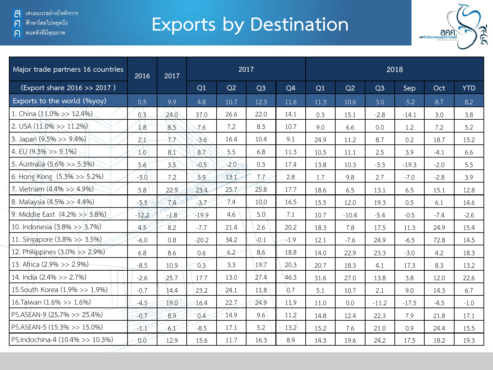์ ศึกษาโดยไม่หยุดนี<sub>้</sub>ง  $\mathsf{F}$ 

ิคนคลังที่มีคุณภาพ  $\bigcap$ 

# **Exports by Destination**



| Major trade partners 16 countries | 2016    | 2017   |         |        | 2017           |                | 2018 |         |                |         |        |            |  |  |
|-----------------------------------|---------|--------|---------|--------|----------------|----------------|------|---------|----------------|---------|--------|------------|--|--|
| (Export share 2016 >> 2017)       |         |        | Q1      | Q2     | Q <sub>3</sub> | Q <sub>4</sub> | Q1   | Q2      | Q <sub>3</sub> | Sep     | Oct    | <b>YTD</b> |  |  |
| Exports to the world (%yoy)       | 0.5     | 9.9    | 4.8     | 10.7   | 12.3           | 11.6           | 11.3 | 10.6    | 3.0            | $-5.2$  | 8.7    | 8.2        |  |  |
| 1. China (11.0% >> 12.4%)         | 0.3     | 24.0   | 37.0    | 26.6   | 22.0           | 14.1           | 0.3  | 15.1    | $-2.8$         | $-14.1$ | 3.0    | 3.8        |  |  |
| 2. USA $(11.0\% \gg 11.2\%)$      | 1.8     | 8.5    | 7.6     | 7.2    | 8.3            | 10.7           | 9.0  | 6.6     | 0.0            | 1.2     | 7.2    | 5.2        |  |  |
| 3. Japan (9.5% >> 9.4%)           | 2.1     | 7.7    | $-3.6$  | 16.4   | 10.4           | 9.1            | 24.9 | 11.2    | 8.7            | 0.2     | 18.7   | 15.2       |  |  |
| 4. EU $(9.3\% >> 9.1\%)$          | 1.0     | 8.1    | 8.7     | 5.5    | 6.8            | 11.3           | 10.5 | 11.1    | 2.5            | 3.9     | $-4.1$ | 6.6        |  |  |
| 5. Australia (5.6% >> 5.3%)       | 5.6     | 3.5    | $-0.5$  | $-2.0$ | 0.3            | 17.4           | 13.8 | 10.3    | $-3.3$         | $-19.3$ | $-2.0$ | 5.5        |  |  |
| 6. Hong Kong (5.3% >> 5.2%)       | $-3.0$  | 7.2    | 5.9     | 13.1   | 7.7            | 2.8            | 1.7  | 9.8     | 2.7            | $-7.0$  | $-2.8$ | 3.9        |  |  |
| 7. Vietnam (4.4% >> 4.9%)         | 5.8     | 22.9   | 23.4    | 25.7   | 25.8           | 17.7           | 18.6 | 6.5     | 13.1           | 6.5     | 15.1   | 12.8       |  |  |
| 8. Malaysia (4.5% >> 4.4%)        | $-5.5$  | 7.4    | $-3.7$  | 7.4    | 10.0           | 16.5           | 15.5 | 12.0    | 19.3           | 0.5     | 6.1    | 14.6       |  |  |
| 9. Middle East (4.2% >> 3.8%)     | $-12.2$ | $-1.8$ | $-19.9$ | 4.6    | 5.0            | 7.1            | 10.7 | $-10.4$ | $-5.4$         | $-0.5$  | $-7.4$ | $-2.6$     |  |  |
| 10. Indonesia (3.8% >> 3.7%)      | 4.5     | 8.2    | $-7.7$  | 21.4   | 2.6            | 20.2           | 18.3 | 7.8     | 17.5           | 11.3    | 24.9   | 15.4       |  |  |
| 11. Singapore (3.8% >> 3.5%)      | $-6.0$  | 0.8    | $-20.2$ | 34.2   | $-0.1$         | $-1.9$         | 12.1 | $-7.6$  | 24.9           | $-6.5$  | 72.8   | 14.5       |  |  |
| 12. Philippines (3.0% >> 2.9%)    | 6.8     | 8.6    | 0.6     | 6.2    | 8.6            | 18.8           | 14.0 | 22.9    | 23.3           | $-3.0$  | 4.2    | 18.3       |  |  |
| 13. Africa (2.9% >> 2.9%)         | $-8.5$  | 10.9   | 0.3     | 3.3    | 19.7           | 20.3           | 20.7 | 18.3    | 4.1            | 17.3    | 8.3    | 13.2       |  |  |
| 14. India (2.4% >> 2.7%)          | $-2.6$  | 25.7   | 17.7    | 13.0   | 27.4           | 46.3           | 31.6 | 27.0    | 13.8           | 3.8     | 12.0   | 22.6       |  |  |
| 15. South Korea (1.9% >> 1.9%)    | $-0.7$  | 14.4   | 23.2    | 24.1   | 11.8           | 0.7            | 5.1  | 10.7    | 2.1            | 9.0     | 14.3   | 6.7        |  |  |
| 16. Taiwan (1.6% >> 1.6%)         | $-4.5$  | 19.0   | 16.4    | 22.7   | 24.9           | 11.9           | 11.0 | 0.0     | $-11.2$        | $-17.5$ | $-4.5$ | $-1.0$     |  |  |
| PS.ASEAN-9 (25.7% >> 25.4%)       | $-0.7$  | 8.9    | 0.4     | 14.9   | 9.6            | 11.2           | 14.8 | 12.4    | 22.3           | 7.9     | 21.8   | 17.1       |  |  |
| PS.ASEAN-5 (15.3% >> 15.0%)       | $-1.1$  | 6.1    | $-8.5$  | 17.1   | 5.2            | 13.2           | 15.2 | 7.6     | 21.0           | 0.9     | 24.4   | 15.5       |  |  |
| PS.Indochina-4 (10.4% >> 10.3%)   | 0.0     | 12.9   | 15.6    | 11.7   | 16.3           | 8.9            | 14.3 | 19.6    | 24.2           | 17.5    | 18.2   | 19.3       |  |  |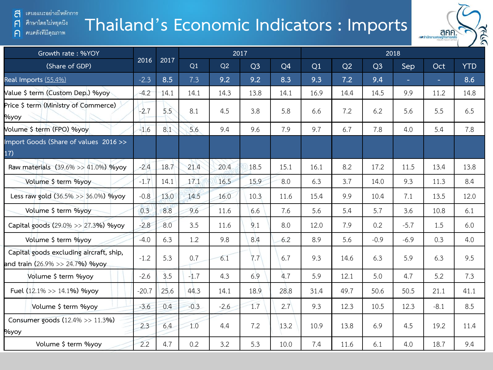### เสนอแนะอย่างมีหลักการ a

ศึกษาโดยไม่หยุดนี้ง  $\mathsf{F}$ 

คนคลังที่มีคุณภาพ  $\bigcap$ 

### **Thailand's Economic Indicators : Imports**



| Growth rate: %YOY                                                          |         |      |        |        | 2017           |      | 2018 |      |                |        |        |            |  |  |
|----------------------------------------------------------------------------|---------|------|--------|--------|----------------|------|------|------|----------------|--------|--------|------------|--|--|
| (Share of GDP)                                                             | 2016    | 2017 | Q1     | Q2     | Q <sub>3</sub> | Q4   | Q1   | Q2   | Q <sub>3</sub> | Sep    | Oct    | <b>YTD</b> |  |  |
| Real Imports (55.4%)                                                       | $-2.3$  | 8.5  | 7.3    | 9.2    | 9.2            | 8.3  | 9.3  | 7.2  | 9.4            | ÷.     | ÷.     | 8.6        |  |  |
| Value \$ term (Custom Dep.) %yoy                                           | $-4.2$  | 14.1 | 14.1   | 14.3   | 13.8           | 14.1 | 16.9 | 14.4 | 14.5           | 9.9    | 11.2   | 14.8       |  |  |
| Price \$ term (Ministry of Commerce)<br><b>Myoy</b>                        | $-2.7$  | 5.5  | 8.1    | 4.5    | 3.8            | 5.8  | 6.6  | 7.2  | 6.2            | 5.6    | 5.5    | 6.5        |  |  |
| Volume \$ term (FPO) %yoy                                                  | $-1.6$  | 8.1  | 5.6    | 9.4    | 9.6            | 7.9  | 9.7  | 6.7  | 7.8            | 4.0    | 5.4    | 7.8        |  |  |
| Import Goods (Share of values 2016>><br>17)                                |         |      |        |        |                |      |      |      |                |        |        |            |  |  |
| Raw materials (39.6% >> 41.0%) %yoy                                        | $-2.4$  | 18.7 | 21.4   | 20.4   | 18.5           | 15.1 | 16.1 | 8.2  | 17.2           | 11.5   | 13.4   | 13.8       |  |  |
| Volume \$ term %yoy                                                        | $-1.7$  | 14.1 | 17.1   | 16.5   | 15.9           | 8.0  | 6.3  | 3.7  | 14.0           | 9.3    | 11.3   | 8.4        |  |  |
| Less raw gold (36.5% >> 36.0%) %yoy                                        | $-0.8$  | 13.0 | 14.5   | 16.0   | 10.3           | 11.6 | 15.4 | 9.9  | 10.4           | 7.1    | 13.5   | 12.0       |  |  |
| Volume \$ term %yoy                                                        | 0.3     | 8.8  | 9.6    | 11.6   | 6.6            | 7.6  | 5.6  | 5.4  | 5.7            | 3.6    | 10.8   | 6.1        |  |  |
| Capital goods (29.0% >> 27.3%) %yoy                                        | $-2.8$  | 8.0  | 3.5    | 11.6   | 9.1            | 8.0  | 12.0 | 7.9  | 0.2            | $-5.7$ | 1.5    | 6.0        |  |  |
| Volume \$ term %yoy                                                        | $-4.0$  | 6.3  | 1.2    | 9.8    | 8.4            | 6.2  | 8.9  | 5.6  | $-0.9$         | $-6.9$ | 0.3    | 4.0        |  |  |
| Capital goods excluding aircraft, ship,<br>and train (26.9% >> 24.7%) %yoy | $-1.2$  | 5.3  | 0.7    | 6.1    | 7.7            | 6.7  | 9.3  | 14.6 | 6.3            | 5.9    | 6.3    | 9.5        |  |  |
| Volume \$ term %yoy                                                        | $-2.6$  | 3.5  | $-1.7$ | 4.3    | 6.9            | 4.7  | 5.9  | 12.1 | 5.0            | 4.7    | 5.2    | 7.3        |  |  |
| Fuel (12.1% >> 14.1%) %yoy                                                 | $-20.7$ | 25.6 | 44.3   | 14.1   | 18.9           | 28.8 | 31.4 | 49.7 | 50.6           | 50.5   | 21.1   | 41.1       |  |  |
| Volume \$ term %yoy                                                        | $-3.6$  | 0.4  | $-0.3$ | $-2.6$ | 1.7            | 2.7  | 9.3  | 12.3 | 10.5           | 12.3   | $-8.1$ | 8.5        |  |  |
| Consumer goods (12.4% >> 11.3%)<br><b>Myoy</b>                             | 2.3     | 6.4  | 1.0    | 4.4    | 7.2            | 13.2 | 10.9 | 13.8 | 6.9            | 4.5    | 19.2   | 11.4       |  |  |
| Volume \$ term %yoy                                                        | 2.2     | 4.7  | 0.2    | 3.2    | 5.3            | 10.0 | 7.4  | 11.6 | 6.1            | 4.0    | 18.7   | 9.4        |  |  |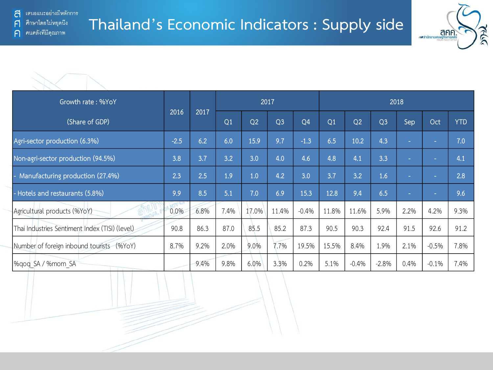



| Growth rate: %YoY                              |        | 2017 |      |                | 2017           |                | 2018  |                |                |                |         |            |  |
|------------------------------------------------|--------|------|------|----------------|----------------|----------------|-------|----------------|----------------|----------------|---------|------------|--|
| (Share of GDP)                                 | 2016   |      | Q1   | Q <sub>2</sub> | Q <sub>3</sub> | Q <sub>4</sub> | Q1    | Q <sub>2</sub> | Q <sub>3</sub> | Sep            | Oct     | <b>YTD</b> |  |
| Agri-sector production (6.3%)                  | $-2.5$ | 6.2  | 6.0  | 15.9           | 9.7            | $-1.3$         | 6.5   | 10.2           | 4.3            | $\blacksquare$ | ×       | 7.0        |  |
| Non-agri-sector production (94.5%)             | 3.8    | 3.7  | 3.2  | 3.0            | 4.0            | 4.6            | 4.8   | 4.1            | 3.3            | $\sim$         | $\sim$  | 4.1        |  |
| - Manufacturing production (27.4%)             | 2.3    | 2.5  | 1.9  | 1.0            | 4.2            | 3.0            | 3.7   | 3.2            | 1.6            | $\sim$         | ×       | 2.8        |  |
| - Hotels and restaurants (5.8%)                | 9.9    | 8.5  | 5.1  | 7.0            | 6.9            | 15.3           | 12.8  | 9.4            | 6.5            | $\sim$         | ×       | 9.6        |  |
| Agricultural products (%YoY)                   | 0.0%   | 6.8% | 7.4% | 17.0%          | 11.4%          | $-0.4%$        | 11.8% | 11.6%          | 5.9%           | 2.2%           | 4.2%    | 9.3%       |  |
| Thai Industries Sentiment Index (TISI) (level) | 90.8   | 86.3 | 87.0 | 85.5           | 85.2           | 87.3           | 90.5  | 90.3           | 92.4           | 91.5           | 92.6    | 91.2       |  |
| Number of foreign inbound tourists (%YoY)      | 8.7%   | 9.2% | 2.0% | 9.0%           | 7.7%           | 19.5%          | 15.5% | 8.4%           | 1.9%           | 2.1%           | $-0.5%$ | 7.8%       |  |
| %gog SA / %mom SA                              |        | 9.4% | 9.8% | 6.0%           | 3.3%           | 0.2%           | 5.1%  | $-0.4%$        | $-2.8%$        | 0.4%           | $-0.1%$ | 7.4%       |  |